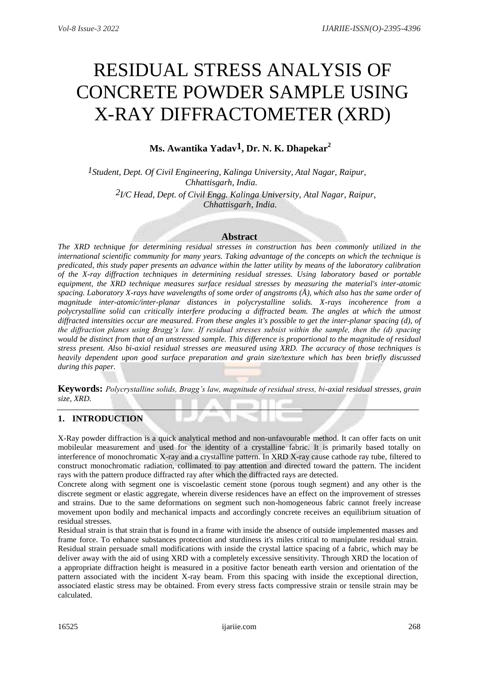# RESIDUAL STRESS ANALYSIS OF CONCRETE POWDER SAMPLE USING X-RAY DIFFRACTOMETER (XRD)

# **Ms. Awantika Yadav1, Dr. N. K. Dhapekar<sup>2</sup>**

*1Student, Dept. Of Civil Engineering, Kalinga University, Atal Nagar, Raipur, Chhattisgarh, India. 2I/C Head, Dept. of Civil Engg. Kalinga University, Atal Nagar, Raipur, Chhattisgarh, India.*

#### **Abstract**

*The XRD technique for determining residual stresses in construction has been commonly utilized in the international scientific community for many years. Taking advantage of the concepts on which the technique is predicated, this study paper presents an advance within the latter utility by means of the laboratory calibration of the X-ray diffraction techniques in determining residual stresses. Using laboratory based or portable equipment, the XRD technique measures surface residual stresses by measuring the material's inter-atomic spacing. Laboratory X-rays have wavelengths of some order of angstroms (Å), which also has the same order of magnitude inter-atomic/inter-planar distances in polycrystalline solids. X-rays incoherence from a polycrystalline solid can critically interfere producing a diffracted beam. The angles at which the utmost diffracted intensities occur are measured. From these angles it's possible to get the inter-planar spacing (d), of the diffraction planes using Bragg's law. If residual stresses subsist within the sample, then the (d) spacing would be distinct from that of an unstressed sample. This difference is proportional to the magnitude of residual stress present. Also bi-axial residual stresses are measured using XRD. The accuracy of those techniques is heavily dependent upon good surface preparation and grain size/texture which has been briefly discussed during this paper.*

**Keywords:** *Polycrystalline solids, Bragg's law, magnitude of residual stress, bi-axial residual stresses, grain size, XRD.*

#### **1. INTRODUCTION**

X-Ray powder diffraction is a quick analytical method and non-unfavourable method. It can offer facts on unit mobileular measurement and used for the identity of a crystalline fabric. It is primarily based totally on interference of monochromatic X-ray and a crystalline pattern. In XRD X-ray cause cathode ray tube, filtered to construct monochromatic radiation, collimated to pay attention and directed toward the pattern. The incident rays with the pattern produce diffracted ray after which the diffracted rays are detected.

Concrete along with segment one is viscoelastic cement stone (porous tough segment) and any other is the discrete segment or elastic aggregate, wherein diverse residences have an effect on the improvement of stresses and strains. Due to the same deformations on segment such non-homogeneous fabric cannot freely increase movement upon bodily and mechanical impacts and accordingly concrete receives an equilibrium situation of residual stresses.

Residual strain is that strain that is found in a frame with inside the absence of outside implemented masses and frame force. To enhance substances protection and sturdiness it's miles critical to manipulate residual strain. Residual strain persuade small modifications with inside the crystal lattice spacing of a fabric, which may be deliver away with the aid of using XRD with a completely excessive sensitivity. Through XRD the location of a appropriate diffraction height is measured in a positive factor beneath earth version and orientation of the pattern associated with the incident X-ray beam. From this spacing with inside the exceptional direction, associated elastic stress may be obtained. From every stress facts compressive strain or tensile strain may be calculated.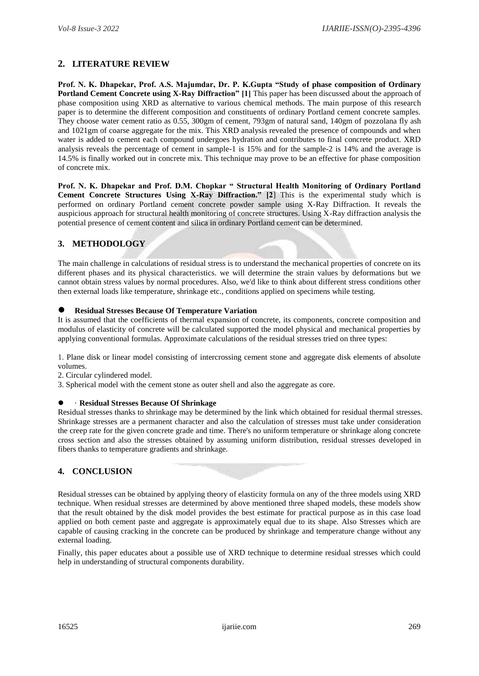# **2. LITERATURE REVIEW**

**Prof. N. K. Dhapekar, Prof. A.S. Majumdar, Dr. P. K.Gupta "Study of phase composition of Ordinary Portland Cement Concrete using X-Ray Diffraction" [1]** This paper has been discussed about the approach of phase composition using XRD as alternative to various chemical methods. The main purpose of this research paper is to determine the different composition and constituents of ordinary Portland cement concrete samples. They choose water cement ratio as 0.55, 300gm of cement, 793gm of natural sand, 140gm of pozzolana fly ash and 1021gm of coarse aggregate for the mix. This XRD analysis revealed the presence of compounds and when water is added to cement each compound undergoes hydration and contributes to final concrete product. XRD analysis reveals the percentage of cement in sample-1 is 15% and for the sample-2 is 14% and the average is 14.5% is finally worked out in concrete mix. This technique may prove to be an effective for phase composition of concrete mix.

**Prof. N. K. Dhapekar and Prof. D.M. Chopkar " Structural Health Monitoring of Ordinary Portland Cement Concrete Structures Using X-Ray Diffraction." [2**] This is the experimental study which is performed on ordinary Portland cement concrete powder sample using X-Ray Diffraction. It reveals the auspicious approach for structural health monitoring of concrete structures. Using X-Ray diffraction analysis the potential presence of cement content and silica in ordinary Portland cement can be determined.

### **3. METHODOLOGY**

The main challenge in calculations of residual stress is to understand the mechanical properties of concrete on its different phases and its physical characteristics. we will determine the strain values by deformations but we cannot obtain stress values by normal procedures. Also, we'd like to think about different stress conditions other then external loads like temperature, shrinkage etc., conditions applied on specimens while testing.

#### **Residual Stresses Because Of Temperature Variation**

It is assumed that the coefficients of thermal expansion of concrete, its components, concrete composition and modulus of elasticity of concrete will be calculated supported the model physical and mechanical properties by applying conventional formulas. Approximate calculations of the residual stresses tried on three types:

1. Plane disk or linear model consisting of intercrossing cement stone and aggregate disk elements of absolute volumes.

- 2. Circular cylindered model.
- 3. Spherical model with the cement stone as outer shell and also the aggregate as core.

#### · **Residual Stresses Because Of Shrinkage**

Residual stresses thanks to shrinkage may be determined by the link which obtained for residual thermal stresses. Shrinkage stresses are a permanent character and also the calculation of stresses must take under consideration the creep rate for the given concrete grade and time. There's no uniform temperature or shrinkage along concrete cross section and also the stresses obtained by assuming uniform distribution, residual stresses developed in fibers thanks to temperature gradients and shrinkage.

# **4. CONCLUSION**

Residual stresses can be obtained by applying theory of elasticity formula on any of the three models using XRD technique. When residual stresses are determined by above mentioned three shaped models, these models show that the result obtained by the disk model provides the best estimate for practical purpose as in this case load applied on both cement paste and aggregate is approximately equal due to its shape. Also Stresses which are capable of causing cracking in the concrete can be produced by shrinkage and temperature change without any external loading.

Finally, this paper educates about a possible use of XRD technique to determine residual stresses which could help in understanding of structural components durability.